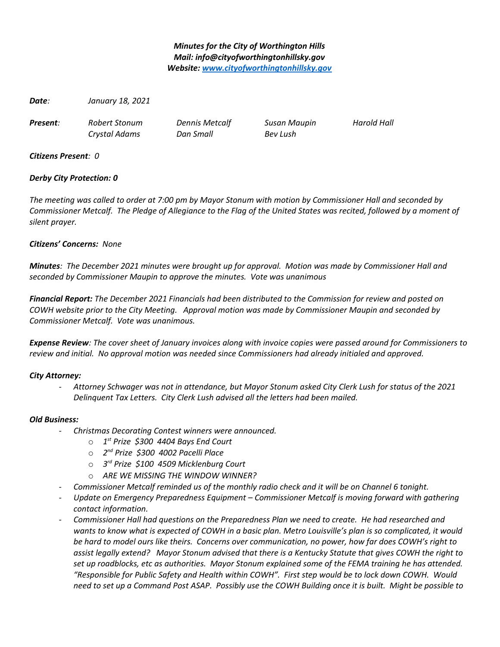## *Minutes for the City of Worthington Hills Mail: info@cityofworthingtonhillsky.gov Website: [www.cityofworthingtonhillsky.gov](http://www.cityofworthingtonhillsky.gov/)*

*Date: January 18, 2021*

*Present: Robert Stonum Dennis Metcalf Susan Maupin Harold Hall*

*Crystal Adams Dan Small Bev Lush*

*Citizens Present: 0*

# *Derby City Protection: 0*

*The meeting was called to order at 7:00 pm by Mayor Stonum with motion by Commissioner Hall and seconded by Commissioner Metcalf. The Pledge of Allegiance to the Flag of the United States was recited, followed by a moment of silent prayer.*

# *Citizens' Concerns: None*

*Minutes: The December 2021 minutes were brought up for approval. Motion was made by Commissioner Hall and seconded by Commissioner Maupin to approve the minutes. Vote was unanimous*

*Financial Report: The December 2021 Financials had been distributed to the Commission for review and posted on COWH website prior to the City Meeting. Approval motion was made by Commissioner Maupin and seconded by Commissioner Metcalf. Vote was unanimous.*

*Expense Review: The cover sheet of January invoices along with invoice copies were passed around for Commissioners to review and initial. No approval motion was needed since Commissioners had already initialed and approved.* 

## *City Attorney:*

- *Attorney Schwager was not in attendance, but Mayor Stonum asked City Clerk Lush for status of the 2021 Delinquent Tax Letters. City Clerk Lush advised all the letters had been mailed.*

## *Old Business:*

- *Christmas Decorating Contest winners were announced.* 
	- o *1 st Prize \$300 4404 Bays End Court*
	- o *2 nd Prize \$300 4002 Pacelli Place*
	- o *3 rd Prize \$100 4509 Micklenburg Court*
	- o *ARE WE MISSING THE WINDOW WINNER?*
- *Commissioner Metcalf reminded us of the monthly radio check and it will be on Channel 6 tonight.*
- *Update on Emergency Preparedness Equipment Commissioner Metcalf is moving forward with gathering contact information.*
- *Commissioner Hall had questions on the Preparedness Plan we need to create. He had researched and*  wants to know what is expected of COWH in a basic plan. Metro Louisville's plan is so complicated, it would *be hard to model ours like theirs. Concerns over communication, no power, how far does COWH's right to assist legally extend? Mayor Stonum advised that there is a Kentucky Statute that gives COWH the right to set up roadblocks, etc as authorities. Mayor Stonum explained some of the FEMA training he has attended. "Responsible for Public Safety and Health within COWH". First step would be to lock down COWH. Would need to set up a Command Post ASAP. Possibly use the COWH Building once it is built. Might be possible to*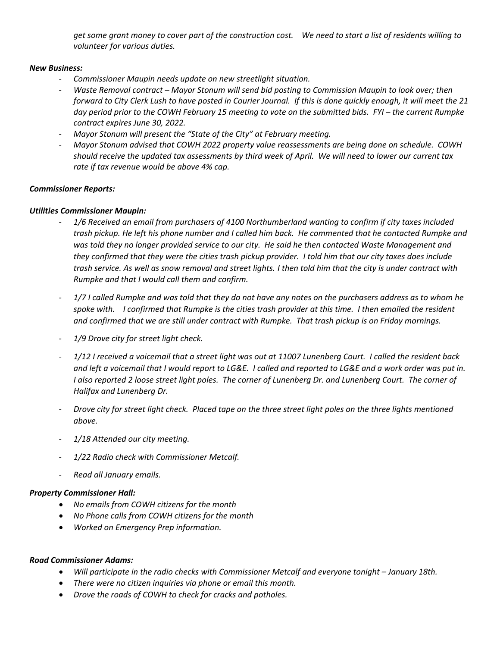*get some grant money to cover part of the construction cost. We need to start a list of residents willing to volunteer for various duties.*

### *New Business:*

- *Commissioner Maupin needs update on new streetlight situation.*
- *Waste Removal contract Mayor Stonum will send bid posting to Commission Maupin to look over; then forward to City Clerk Lush to have posted in Courier Journal. If this is done quickly enough, it will meet the 21 day period prior to the COWH February 15 meeting to vote on the submitted bids. FYI – the current Rumpke contract expires June 30, 2022.*
- *Mayor Stonum will present the "State of the City" at February meeting.*
- *Mayor Stonum advised that COWH 2022 property value reassessments are being done on schedule. COWH should receive the updated tax assessments by third week of April. We will need to lower our current tax rate if tax revenue would be above 4% cap.*

## *Commissioner Reports:*

### *Utilities Commissioner Maupin:*

- *1/6 Received an email from purchasers of 4100 Northumberland wanting to confirm if city taxes included trash pickup. He left his phone number and I called him back. He commented that he contacted Rumpke and was told they no longer provided service to our city. He said he then contacted Waste Management and they confirmed that they were the cities trash pickup provider. I told him that our city taxes does include trash service. As well as snow removal and street lights. I then told him that the city is under contract with Rumpke and that I would call them and confirm.*
- *1/7 I called Rumpke and was told that they do not have any notes on the purchasers address as to whom he spoke with. I confirmed that Rumpke is the cities trash provider at this time. I then emailed the resident and confirmed that we are still under contract with Rumpke. That trash pickup is on Friday mornings.*
- 1/9 Drove city for street light check.
- *1/12 I received a voicemail that a street light was out at 11007 Lunenberg Court. I called the resident back and left a voicemail that I would report to LG&E. I called and reported to LG&E and a work order was put in. I also reported 2 loose street light poles. The corner of Lunenberg Dr. and Lunenberg Court. The corner of Halifax and Lunenberg Dr.*
- *Drove city for street light check. Placed tape on the three street light poles on the three lights mentioned above.*
- *1/18 Attended our city meeting.*
- *1/22 Radio check with Commissioner Metcalf.*
- *Read all January emails.*

#### *Property Commissioner Hall:*

- *No emails from COWH citizens for the month*
- *No Phone calls from COWH citizens for the month*
- *Worked on Emergency Prep information.*

#### *Road Commissioner Adams:*

- *Will participate in the radio checks with Commissioner Metcalf and everyone tonight January 18th.*
- *There were no citizen inquiries via phone or email this month.*
- *Drove the roads of COWH to check for cracks and potholes.*